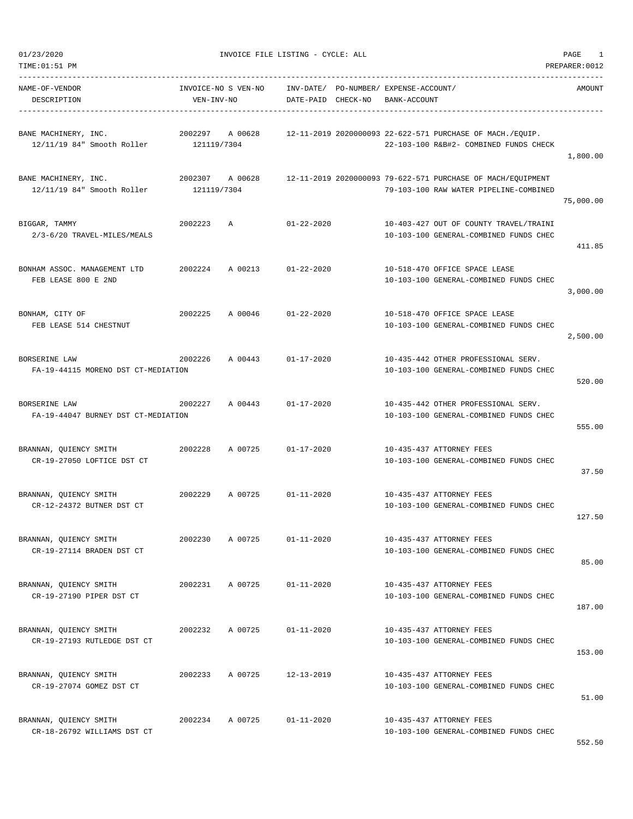$01/23/2020$  PAGE 1

| TIME:01:51 PM                                                                     |                                   |         |                    |                                       |              |                                                                                                       | PREPARER: 0012 |
|-----------------------------------------------------------------------------------|-----------------------------------|---------|--------------------|---------------------------------------|--------------|-------------------------------------------------------------------------------------------------------|----------------|
| NAME-OF-VENDOR<br>DESCRIPTION                                                     | INVOICE-NO S VEN-NO<br>VEN-INV-NO |         | DATE-PAID CHECK-NO | INV-DATE/ PO-NUMBER/ EXPENSE-ACCOUNT/ | BANK-ACCOUNT |                                                                                                       | AMOUNT         |
| BANE MACHINERY, INC.<br>12/11/19 84" Smooth Roller 121119/7304                    | 2002297                           | A 00628 |                    |                                       |              | 12-11-2019 2020000093 22-622-571 PURCHASE OF MACH./EQUIP.<br>22-103-100 R&B#2- COMBINED FUNDS CHECK   | 1,800.00       |
| 2002307 A 00628<br>BANE MACHINERY, INC.<br>12/11/19 84" Smooth Roller 121119/7304 |                                   |         |                    |                                       |              | 12-11-2019 2020000093 79-622-571 PURCHASE OF MACH/EQUIPMENT<br>79-103-100 RAW WATER PIPELINE-COMBINED | 75,000.00      |
| BIGGAR, TAMMY<br>2/3-6/20 TRAVEL-MILES/MEALS                                      | 2002223                           | Α       | $01 - 22 - 2020$   |                                       |              | 10-403-427 OUT OF COUNTY TRAVEL/TRAINI<br>10-103-100 GENERAL-COMBINED FUNDS CHEC                      | 411.85         |
| BONHAM ASSOC. MANAGEMENT LTD<br>FEB LEASE 800 E 2ND                               | 2002224                           | A 00213 | $01 - 22 - 2020$   |                                       |              | 10-518-470 OFFICE SPACE LEASE<br>10-103-100 GENERAL-COMBINED FUNDS CHEC                               | 3,000.00       |
| BONHAM, CITY OF<br>FEB LEASE 514 CHESTNUT                                         | 2002225                           | A 00046 | $01 - 22 - 2020$   |                                       |              | 10-518-470 OFFICE SPACE LEASE<br>10-103-100 GENERAL-COMBINED FUNDS CHEC                               | 2,500.00       |
| BORSERINE LAW<br>FA-19-44115 MORENO DST CT-MEDIATION                              | 2002226                           | A 00443 | $01 - 17 - 2020$   |                                       |              | 10-435-442 OTHER PROFESSIONAL SERV.<br>10-103-100 GENERAL-COMBINED FUNDS CHEC                         | 520.00         |
| BORSERINE LAW<br>FA-19-44047 BURNEY DST CT-MEDIATION                              | 2002227                           | A 00443 | $01 - 17 - 2020$   |                                       |              | 10-435-442 OTHER PROFESSIONAL SERV.<br>10-103-100 GENERAL-COMBINED FUNDS CHEC                         | 555.00         |
| BRANNAN, QUIENCY SMITH<br>CR-19-27050 LOFTICE DST CT                              | 2002228                           | A 00725 | $01 - 17 - 2020$   |                                       |              | 10-435-437 ATTORNEY FEES<br>10-103-100 GENERAL-COMBINED FUNDS CHEC                                    | 37.50          |
| BRANNAN, QUIENCY SMITH<br>CR-12-24372 BUTNER DST CT                               | 2002229                           | A 00725 | $01 - 11 - 2020$   |                                       |              | 10-435-437 ATTORNEY FEES<br>10-103-100 GENERAL-COMBINED FUNDS CHEC                                    | 127.50         |
| BRANNAN, QUIENCY SMITH<br>CR-19-27114 BRADEN DST CT                               | 2002230                           | A 00725 | $01 - 11 - 2020$   |                                       |              | 10-435-437 ATTORNEY FEES<br>10-103-100 GENERAL-COMBINED FUNDS CHEC                                    | 85.00          |
| BRANNAN, QUIENCY SMITH<br>CR-19-27190 PIPER DST CT                                | 2002231                           | A 00725 | $01 - 11 - 2020$   |                                       |              | 10-435-437 ATTORNEY FEES<br>10-103-100 GENERAL-COMBINED FUNDS CHEC                                    | 187.00         |
| BRANNAN, QUIENCY SMITH<br>CR-19-27193 RUTLEDGE DST CT                             | 2002232                           | A 00725 | $01 - 11 - 2020$   |                                       |              | 10-435-437 ATTORNEY FEES<br>10-103-100 GENERAL-COMBINED FUNDS CHEC                                    | 153.00         |
| BRANNAN, QUIENCY SMITH<br>CR-19-27074 GOMEZ DST CT                                | 2002233                           | A 00725 | $12 - 13 - 2019$   |                                       |              | 10-435-437 ATTORNEY FEES<br>10-103-100 GENERAL-COMBINED FUNDS CHEC                                    | 51.00          |
| BRANNAN, QUIENCY SMITH<br>CR-18-26792 WILLIAMS DST CT                             | 2002234                           | A 00725 | $01 - 11 - 2020$   |                                       |              | 10-435-437 ATTORNEY FEES<br>10-103-100 GENERAL-COMBINED FUNDS CHEC                                    |                |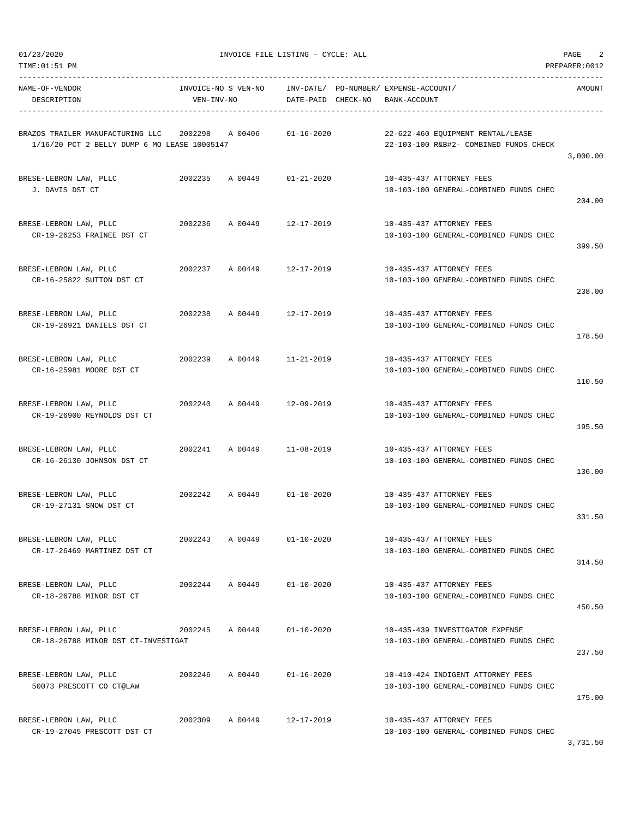| NAME-OF-VENDOR<br>DESCRIPTION                                                                    | VEN-INV-NO | INVOICE-NO S VEN-NO | DATE-PAID CHECK-NO         | INV-DATE/ PO-NUMBER/EXPENSE-ACCOUNT/<br>BANK-ACCOUNT                        | AMOUNT   |
|--------------------------------------------------------------------------------------------------|------------|---------------------|----------------------------|-----------------------------------------------------------------------------|----------|
| BRAZOS TRAILER MANUFACTURING LLC 2002298 A 00406<br>1/16/20 PCT 2 BELLY DUMP 6 MO LEASE 10005147 |            |                     | 01-16-2020                 | 22-622-460 EQUIPMENT RENTAL/LEASE<br>22-103-100 R&B#2- COMBINED FUNDS CHECK | 3,000.00 |
| BRESE-LEBRON LAW, PLLC<br>J. DAVIS DST CT                                                        |            |                     | 2002235 A 00449 01-21-2020 | 10-435-437 ATTORNEY FEES<br>10-103-100 GENERAL-COMBINED FUNDS CHEC          | 204.00   |
| BRESE-LEBRON LAW, PLLC<br>CR-19-26253 FRAINEE DST CT                                             | 2002236    |                     | A 00449 12-17-2019         | 10-435-437 ATTORNEY FEES<br>10-103-100 GENERAL-COMBINED FUNDS CHEC          | 399.50   |
| BRESE-LEBRON LAW, PLLC<br>CR-16-25822 SUTTON DST CT                                              |            |                     | 2002237 A 00449 12-17-2019 | 10-435-437 ATTORNEY FEES<br>10-103-100 GENERAL-COMBINED FUNDS CHEC          | 238.00   |
| BRESE-LEBRON LAW, PLLC<br>CR-19-26921 DANIELS DST CT                                             |            | 2002238 A 00449     | 12-17-2019                 | 10-435-437 ATTORNEY FEES<br>10-103-100 GENERAL-COMBINED FUNDS CHEC          | 178.50   |
| BRESE-LEBRON LAW, PLLC<br>CR-16-25981 MOORE DST CT                                               |            |                     | 2002239 A 00449 11-21-2019 | 10-435-437 ATTORNEY FEES<br>10-103-100 GENERAL-COMBINED FUNDS CHEC          | 110.50   |
| BRESE-LEBRON LAW, PLLC<br>CR-19-26900 REYNOLDS DST CT                                            |            |                     | 2002240 A 00449 12-09-2019 | 10-435-437 ATTORNEY FEES<br>10-103-100 GENERAL-COMBINED FUNDS CHEC          | 195.50   |
| BRESE-LEBRON LAW, PLLC<br>CR-16-26130 JOHNSON DST CT                                             |            |                     | 2002241 A 00449 11-08-2019 | 10-435-437 ATTORNEY FEES<br>10-103-100 GENERAL-COMBINED FUNDS CHEC          | 136.00   |
| BRESE-LEBRON LAW, PLLC<br>CR-19-27131 SNOW DST CT                                                |            |                     | 2002242 A 00449 01-10-2020 | 10-435-437 ATTORNEY FEES<br>10-103-100 GENERAL-COMBINED FUNDS CHEC          | 331.50   |
| BRESE-LEBRON LAW, PLLC<br>CR-17-26469 MARTINEZ DST CT                                            | 2002243    | A 00449             | $01 - 10 - 2020$           | 10-435-437 ATTORNEY FEES<br>10-103-100 GENERAL-COMBINED FUNDS CHEC          | 314.50   |
| BRESE-LEBRON LAW, PLLC<br>CR-18-26788 MINOR DST CT                                               |            |                     | 2002244 A 00449 01-10-2020 | 10-435-437 ATTORNEY FEES<br>10-103-100 GENERAL-COMBINED FUNDS CHEC          | 450.50   |
| BRESE-LEBRON LAW, PLLC<br>CR-18-26788 MINOR DST CT-INVESTIGAT                                    |            | 2002245 A 00449     | $01 - 10 - 2020$           | 10-435-439 INVESTIGATOR EXPENSE<br>10-103-100 GENERAL-COMBINED FUNDS CHEC   | 237.50   |
| BRESE-LEBRON LAW, PLLC<br>50073 PRESCOTT CO CT@LAW                                               | 2002246    | A 00449             | $01 - 16 - 2020$           | 10-410-424 INDIGENT ATTORNEY FEES<br>10-103-100 GENERAL-COMBINED FUNDS CHEC | 175.00   |
| BRESE-LEBRON LAW, PLLC<br>CR-19-27045 PRESCOTT DST CT                                            |            | 2002309 A 00449     | 12-17-2019                 | 10-435-437 ATTORNEY FEES<br>10-103-100 GENERAL-COMBINED FUNDS CHEC          |          |

3,731.50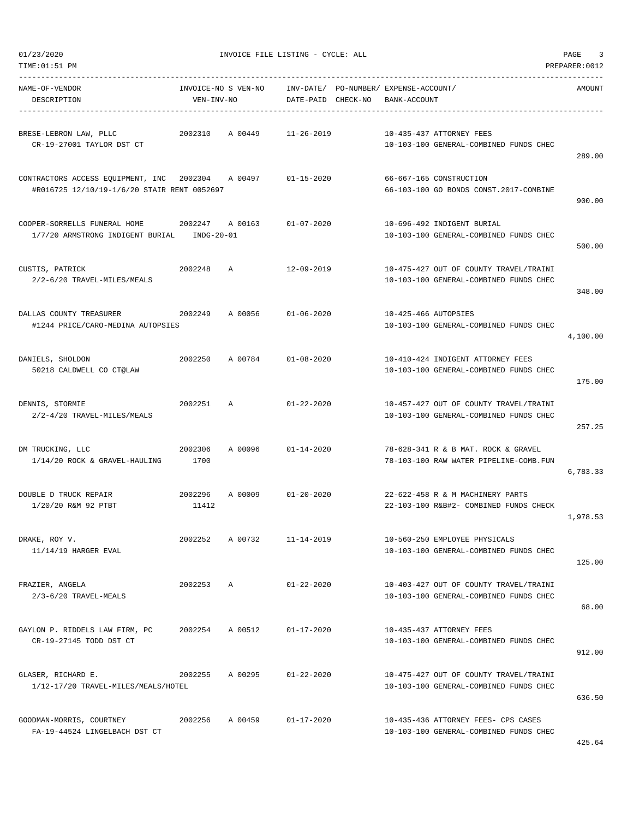| TIME: 01:51 PM                                                                   |                       |                     |                        |          |                                                                                  | PREPARER: 0012 |
|----------------------------------------------------------------------------------|-----------------------|---------------------|------------------------|----------|----------------------------------------------------------------------------------|----------------|
| NAME-OF-VENDOR<br>DESCRIPTION                                                    | VEN-INV-NO            | INVOICE-NO S VEN-NO | INV-DATE/<br>DATE-PAID | CHECK-NO | PO-NUMBER / EXPENSE-ACCOUNT /<br>BANK-ACCOUNT                                    | AMOUNT         |
| BRESE-LEBRON LAW, PLLC<br>CR-19-27001 TAYLOR DST CT                              | 2002310               | A 00449             | $11 - 26 - 2019$       |          | 10-435-437 ATTORNEY FEES<br>10-103-100 GENERAL-COMBINED FUNDS CHEC               | 289.00         |
| CONTRACTORS ACCESS EQUIPMENT, INC<br>#R016725 12/10/19-1/6/20 STAIR RENT 0052697 | 2002304 A 00497       |                     | $01 - 15 - 2020$       |          | 66-667-165 CONSTRUCTION<br>66-103-100 GO BONDS CONST.2017-COMBINE                | 900.00         |
| COOPER-SORRELLS FUNERAL HOME<br>1/7/20 ARMSTRONG INDIGENT BURIAL                 | 2002247<br>INDG-20-01 | A 00163             | $01 - 07 - 2020$       |          | 10-696-492 INDIGENT BURIAL<br>10-103-100 GENERAL-COMBINED FUNDS CHEC             | 500.00         |
| CUSTIS, PATRICK<br>2/2-6/20 TRAVEL-MILES/MEALS                                   | 2002248               | A                   | $12 - 09 - 2019$       |          | 10-475-427 OUT OF COUNTY TRAVEL/TRAINI<br>10-103-100 GENERAL-COMBINED FUNDS CHEC | 348.00         |
| DALLAS COUNTY TREASURER<br>#1244 PRICE/CARO-MEDINA AUTOPSIES                     | 2002249               | A 00056             | $01 - 06 - 2020$       |          | 10-425-466 AUTOPSIES<br>10-103-100 GENERAL-COMBINED FUNDS CHEC                   | 4,100.00       |
| DANIELS, SHOLDON<br>50218 CALDWELL CO CT@LAW                                     | 2002250               | A 00784             | $01 - 08 - 2020$       |          | 10-410-424 INDIGENT ATTORNEY FEES<br>10-103-100 GENERAL-COMBINED FUNDS CHEC      | 175.00         |
| DENNIS, STORMIE<br>2/2-4/20 TRAVEL-MILES/MEALS                                   | 2002251               | A                   | $01 - 22 - 2020$       |          | 10-457-427 OUT OF COUNTY TRAVEL/TRAINI<br>10-103-100 GENERAL-COMBINED FUNDS CHEC | 257.25         |
| DM TRUCKING, LLC<br>1/14/20 ROCK & GRAVEL-HAULING                                | 2002306<br>1700       | A 00096             | $01 - 14 - 2020$       |          | 78-628-341 R & B MAT. ROCK & GRAVEL<br>78-103-100 RAW WATER PIPELINE-COMB.FUN    | 6,783.33       |
| DOUBLE D TRUCK REPAIR<br>1/20/20 R&M 92 PTBT                                     | 2002296<br>11412      | A 00009             | $01 - 20 - 2020$       |          | 22-622-458 R & M MACHINERY PARTS<br>22-103-100 R&B#2- COMBINED FUNDS CHECK       | 1,978.53       |
| DRAKE, ROY V.<br>$11/14/19$ HARGER EVAL                                          | 2002252               | A 00732             | $11 - 14 - 2019$       |          | 10-560-250 EMPLOYEE PHYSICALS<br>10-103-100 GENERAL-COMBINED FUNDS CHEC          | 125.00         |
| FRAZIER, ANGELA<br>$2/3 - 6/20$ TRAVEL-MEALS                                     | 2002253               | $\mathbb{A}$        | $01 - 22 - 2020$       |          | 10-403-427 OUT OF COUNTY TRAVEL/TRAINI<br>10-103-100 GENERAL-COMBINED FUNDS CHEC | 68.00          |
| GAYLON P. RIDDELS LAW FIRM, PC<br>CR-19-27145 TODD DST CT                        | 2002254               | A 00512             | $01 - 17 - 2020$       |          | 10-435-437 ATTORNEY FEES<br>10-103-100 GENERAL-COMBINED FUNDS CHEC               | 912.00         |
| GLASER, RICHARD E.<br>1/12-17/20 TRAVEL-MILES/MEALS/HOTEL                        | 2002255               | A 00295             | $01 - 22 - 2020$       |          | 10-475-427 OUT OF COUNTY TRAVEL/TRAINI<br>10-103-100 GENERAL-COMBINED FUNDS CHEC | 636.50         |
| GOODMAN-MORRIS, COURTNEY<br>FA-19-44524 LINGELBACH DST CT                        | 2002256               | A 00459             | $01 - 17 - 2020$       |          | 10-435-436 ATTORNEY FEES- CPS CASES<br>10-103-100 GENERAL-COMBINED FUNDS CHEC    |                |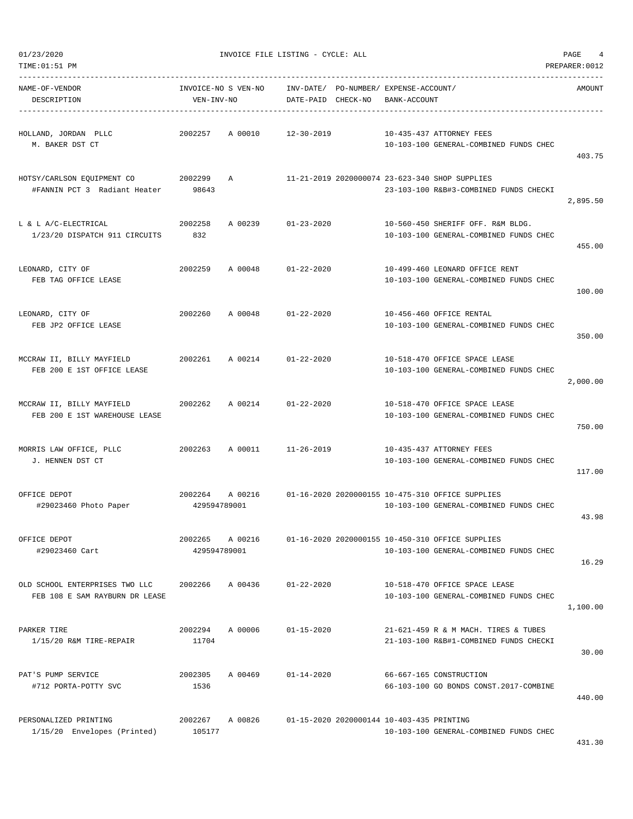TIME:01:51 PM PREPARER:0012

01/23/2020 INVOICE FILE LISTING - CYCLE: ALL PAGE 4

DESCRIPTION VEN-INV-NO DATE-PAID CHECK-NO BANK-ACCOUNT

----------------------------------------------------------------------------------------------------------------------------------- NAME-OF-VENDOR INVOICE-NO S VEN-NO INV-DATE/ PO-NUMBER/ EXPENSE-ACCOUNT/ AMOUNT

----------------------------------------------------------------------------------------------------------------------------------- HOLLAND, JORDAN PLLC 2002257 A 00010 12-30-2019 10-435-437 ATTORNEY FEES M. BAKER DST CT 10-103-100 GENERAL-COMBINED FUNDS CHEC 403.75 HOTSY/CARLSON EQUIPMENT CO 2002299 A 11-21-2019 2020000074 23-623-340 SHOP SUPPLIES #FANNIN PCT 3 Radiant Heater 98643 23-103-100 R&B#3-COMBINED FUNDS CHECKI 2,895.50 L & L A/C-ELECTRICAL 2002258 A 00239 01-23-2020 10-560-450 SHERIFF OFF. R&M BLDG.  $1/23/20$  DISPATCH 911 CIRCUITS  $\qquad \qquad 832$   $\qquad \qquad 10-103-100$  GENERAL-COMBINED FUNDS CHEC 455.00 LEONARD, CITY OF 2002259 A 00048 01-22-2020 10-499-460 LEONARD OFFICE RENT FEB TAG OFFICE LEASE 10-103-100 GENERAL-COMBINED FUNDS CHEC 100.00 LEONARD, CITY OF 2002260 A 00048 01-22-2020 10-456-460 OFFICE RENTAL FEB JP2 OFFICE LEASE 10-103-100 GENERAL-COMBINED FUNDS CHEC 350.00 MCCRAW II, BILLY MAYFIELD 2002261 A 00214 01-22-2020 10-518-470 OFFICE SPACE LEASE FEB 200 E 1ST OFFICE LEASE 10-103-100 GENERAL-COMBINED FUNDS CHEC 2,000.00 MCCRAW II, BILLY MAYFIELD 2002262 A 00214 01-22-2020 10-518-470 OFFICE SPACE LEASE FEB 200 E 1ST WAREHOUSE LEASE 10-103-100 GENERAL-COMBINED FUNDS CHEC 750.00 MORRIS LAW OFFICE, PLLC 2002263 A 00011 11-26-2019 10-435-437 ATTORNEY FEES J. HENNEN DST CT 10-103-100 GENERAL-COMBINED FUNDS CHEC 117.00 OFFICE DEPOT 2002264 A 00216 01-16-2020 2020000155 10-475-310 OFFICE SUPPLIES #29023460 Photo Paper 429594789001 10-103-100 GENERAL-COMBINED FUNDS CHEC 43.98 OFFICE DEPOT 2002265 A 00216 01-16-2020 2020000155 10-450-310 OFFICE SUPPLIES #29023460 Cart 429594789001 10-103-100 GENERAL-COMBINED FUNDS CHEC 16.29 OLD SCHOOL ENTERPRISES TWO LLC 2002266 A 00436 01-22-2020 10-518-470 OFFICE SPACE LEASE FEB 108 E SAM RAYBURN DR LEASE 10-103-100 GENERAL-COMBINED FUNDS CHEC 1,100.00 PARKER TIRE 2002294 A 00006 01-15-2020 21-621-459 R & M MACH. TIRES & TUBES 1/15/20 R&M TIRE-REPAIR 11704 21-103-100 R&B#1-COMBINED FUNDS CHECKI 30.00 PAT'S PUMP SERVICE 2002305 A 00469 01-14-2020 66-667-165 CONSTRUCTION #712 PORTA-POTTY SVC 1536 66-103-100 GO BONDS CONST.2017-COMBINE

PERSONALIZED PRINTING 2002267 A 00826 01-15-2020 2020000144 10-403-435 PRINTING  $1/15/20$  Envelopes (Printed)  $105177$   $10-103-100$  GENERAL-COMBINED FUNDS CHEC

431.30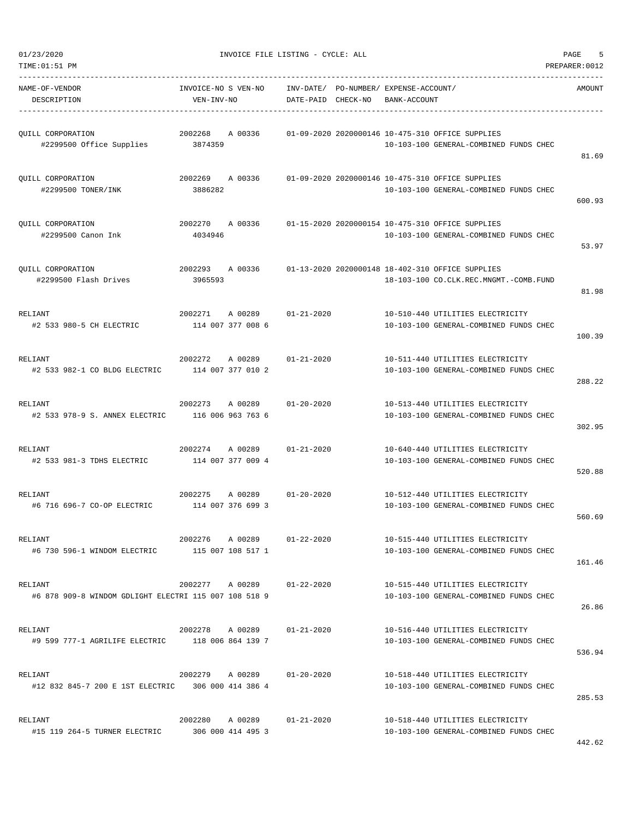600.93

53.97

81.98

100.39

288.22

302.95

520.88

560.69

161.46

26.86

536.94

285.53

| TIME:01:51 PM                                                    |                                   |                                                 |                                                             |              |                                                                                                            | PREPARER:0012 |
|------------------------------------------------------------------|-----------------------------------|-------------------------------------------------|-------------------------------------------------------------|--------------|------------------------------------------------------------------------------------------------------------|---------------|
| NAME-OF-VENDOR<br>DESCRIPTION                                    | INVOICE-NO S VEN-NO<br>VEN-INV-NO |                                                 | INV-DATE/ PO-NUMBER/ EXPENSE-ACCOUNT/<br>DATE-PAID CHECK-NO | BANK-ACCOUNT |                                                                                                            | AMOUNT        |
| QUILL CORPORATION<br>#2299500 Office Supplies 3874359            |                                   | 2002268 A 00336                                 |                                                             |              | 01-09-2020 2020000146 10-475-310 OFFICE SUPPLIES<br>10-103-100 GENERAL-COMBINED FUNDS CHEC                 | 81.69         |
| QUILL CORPORATION<br>#2299500 TONER/INK                          | 3886282                           |                                                 |                                                             |              | 2002269 A 00336 01-09-2020 2020000146 10-475-310 OFFICE SUPPLIES<br>10-103-100 GENERAL-COMBINED FUNDS CHEC | 600.93        |
| QUILL CORPORATION<br>#2299500 Canon Ink                          | 4034946                           |                                                 |                                                             |              | 2002270 A 00336 01-15-2020 2020000154 10-475-310 OFFICE SUPPLIES<br>10-103-100 GENERAL-COMBINED FUNDS CHEC | 53.97         |
| QUILL CORPORATION<br>#2299500 Flash Drives                       | 2002293 A 00336<br>3965593        |                                                 |                                                             |              | 01-13-2020 2020000148 18-402-310 OFFICE SUPPLIES<br>18-103-100 CO.CLK.REC.MNGMT.-COMB.FUND                 | 81.98         |
| RELIANT<br>#2 533 980-5 CH ELECTRIC                              | 114 007 377 008 6                 | 2002271 A 00289 01-21-2020                      |                                                             |              | 10-510-440 UTILITIES ELECTRICITY<br>10-103-100 GENERAL-COMBINED FUNDS CHEC                                 | 100.39        |
| RELIANT<br>#2 533 982-1 CO BLDG ELECTRIC 114 007 377 010 2       | 2002272                           | A 00289                                         | $01 - 21 - 2020$                                            |              | 10-511-440 UTILITIES ELECTRICITY<br>10-103-100 GENERAL-COMBINED FUNDS CHEC                                 | 288.22        |
| RELIANT<br>#2 533 978-9 S. ANNEX ELECTRIC                        |                                   | 2002273 A 00289 01-20-2020<br>116 006 963 763 6 |                                                             |              | 10-513-440 UTILITIES ELECTRICITY<br>10-103-100 GENERAL-COMBINED FUNDS CHEC                                 | 302.95        |
| RELIANT<br>#2 533 981-3 TDHS ELECTRIC                            | 114 007 377 009 4                 | 2002274 A 00289 01-21-2020                      |                                                             |              | 10-640-440 UTILITIES ELECTRICITY<br>10-103-100 GENERAL-COMBINED FUNDS CHEC                                 | 520.88        |
| RELIANT<br>#6 716 696-7 CO-OP ELECTRIC                           | 114 007 376 699 3                 | 2002275 A 00289                                 | $01 - 20 - 2020$                                            |              | 10-512-440 UTILITIES ELECTRICITY<br>10-103-100 GENERAL-COMBINED FUNDS CHEC                                 | 560.69        |
| RELIANT<br>#6 730 596-1 WINDOM ELECTRIC 115 007 108 517 1        |                                   | 2002276 A 00289 01-22-2020                      |                                                             |              | 10-515-440 UTILITIES ELECTRICITY<br>10-103-100 GENERAL-COMBINED FUNDS CHEC                                 | 161.46        |
| RELIANT<br>#6 878 909-8 WINDOM GDLIGHT ELECTRI 115 007 108 518 9 |                                   | 2002277 A 00289 01-22-2020                      |                                                             |              | 10-515-440 UTILITIES ELECTRICITY<br>10-103-100 GENERAL-COMBINED FUNDS CHEC                                 | 26.86         |
| RELIANT<br>#9 599 777-1 AGRILIFE ELECTRIC 118 006 864 139 7      |                                   | 2002278 A 00289 01-21-2020                      |                                                             |              | 10-516-440 UTILITIES ELECTRICITY<br>10-103-100 GENERAL-COMBINED FUNDS CHEC                                 | 536.94        |
| RELIANT<br>#12 832 845-7 200 E 1ST ELECTRIC 306 000 414 386 4    |                                   | 2002279 A 00289 01-20-2020                      |                                                             |              | 10-518-440 UTILITIES ELECTRICITY<br>10-103-100 GENERAL-COMBINED FUNDS CHEC                                 | 285.53        |
| RELIANT<br>#15 119 264-5 TURNER ELECTRIC 306 000 414 495 3       |                                   | 2002280 A 00289 01-21-2020                      |                                                             |              | 10-518-440 UTILITIES ELECTRICITY<br>10-103-100 GENERAL-COMBINED FUNDS CHEC                                 | 442.62        |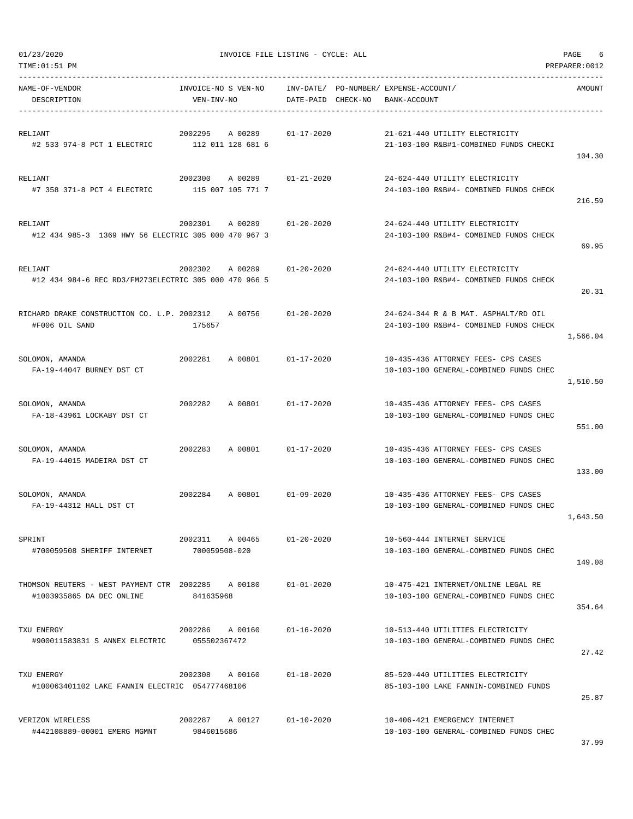01/23/2020 PAGE 6<br>TIME:01:51 PM PREPARE:0012

| TIME:01:51 PM                                                                   |                                         |                    |                                                                                | PREPARER:0012 |
|---------------------------------------------------------------------------------|-----------------------------------------|--------------------|--------------------------------------------------------------------------------|---------------|
| NAME-OF-VENDOR<br>DESCRIPTION                                                   | INVOICE-NO S VEN-NO<br>VEN-INV-NO       | DATE-PAID CHECK-NO | INV-DATE/ PO-NUMBER/ EXPENSE-ACCOUNT/<br>BANK-ACCOUNT                          | AMOUNT        |
| RELIANT<br>#2 533 974-8 PCT 1 ELECTRIC                                          | 2002295<br>A 00289<br>112 011 128 681 6 | $01 - 17 - 2020$   | 21-621-440 UTILITY ELECTRICITY<br>21-103-100 R&B#1-COMBINED FUNDS CHECKI       | 104.30        |
| RELIANT<br>#7 358 371-8 PCT 4 ELECTRIC                                          | 2002300<br>A 00289<br>115 007 105 771 7 | $01 - 21 - 2020$   | 24-624-440 UTILITY ELECTRICITY<br>24-103-100 R&B#4- COMBINED FUNDS CHECK       | 216.59        |
| RELIANT<br>#12 434 985-3 1369 HWY 56 ELECTRIC 305 000 470 967 3                 | 2002301<br>A 00289                      | $01 - 20 - 2020$   | 24-624-440 UTILITY ELECTRICITY<br>24-103-100 R&B#4- COMBINED FUNDS CHECK       | 69.95         |
| <b>RELIANT</b><br>#12 434 984-6 REC RD3/FM273ELECTRIC 305 000 470 966 5         | 2002302<br>A 00289                      | 01-20-2020         | 24-624-440 UTILITY ELECTRICITY<br>24-103-100 R&B#4- COMBINED FUNDS CHECK       | 20.31         |
| RICHARD DRAKE CONSTRUCTION CO. L.P. 2002312<br>#F006 OIL SAND                   | A 00756<br>175657                       | $01 - 20 - 2020$   | 24-624-344 R & B MAT. ASPHALT/RD OIL<br>24-103-100 R&B#4- COMBINED FUNDS CHECK | 1,566.04      |
| SOLOMON, AMANDA<br>FA-19-44047 BURNEY DST CT                                    | 2002281<br>A 00801                      | $01 - 17 - 2020$   | 10-435-436 ATTORNEY FEES- CPS CASES<br>10-103-100 GENERAL-COMBINED FUNDS CHEC  | 1,510.50      |
| SOLOMON, AMANDA<br>FA-18-43961 LOCKABY DST CT                                   | 2002282<br>A 00801                      | $01 - 17 - 2020$   | 10-435-436 ATTORNEY FEES- CPS CASES<br>10-103-100 GENERAL-COMBINED FUNDS CHEC  | 551.00        |
| SOLOMON, AMANDA<br>FA-19-44015 MADEIRA DST CT                                   | 2002283<br>A 00801                      | $01 - 17 - 2020$   | 10-435-436 ATTORNEY FEES- CPS CASES<br>10-103-100 GENERAL-COMBINED FUNDS CHEC  | 133.00        |
| SOLOMON, AMANDA<br>FA-19-44312 HALL DST CT                                      | 2002284<br>A 00801                      | $01 - 09 - 2020$   | 10-435-436 ATTORNEY FEES- CPS CASES<br>10-103-100 GENERAL-COMBINED FUNDS CHEC  | 1,643.50      |
| SPRINT<br>#700059508 SHERIFF INTERNET                                           | 2002311 A 00465<br>700059508-020        | $01 - 20 - 2020$   | 10-560-444 INTERNET SERVICE<br>10-103-100 GENERAL-COMBINED FUNDS CHEC          | 149.08        |
| THOMSON REUTERS - WEST PAYMENT CTR 2002285 A 00180<br>#1003935865 DA DEC ONLINE | 841635968                               | $01 - 01 - 2020$   | 10-475-421 INTERNET/ONLINE LEGAL RE<br>10-103-100 GENERAL-COMBINED FUNDS CHEC  | 354.64        |
| TXU ENERGY<br>#900011583831 S ANNEX ELECTRIC 055502367472                       | 2002286<br>A 00160                      | $01 - 16 - 2020$   | 10-513-440 UTILITIES ELECTRICITY<br>10-103-100 GENERAL-COMBINED FUNDS CHEC     | 27.42         |
| TXU ENERGY<br>#100063401102 LAKE FANNIN ELECTRIC 054777468106                   | 2002308<br>A 00160                      | $01 - 18 - 2020$   | 85-520-440 UTILITIES ELECTRICITY<br>85-103-100 LAKE FANNIN-COMBINED FUNDS      | 25.87         |
| VERIZON WIRELESS<br>#442108889-00001 EMERG MGMNT                                | 2002287 A 00127<br>9846015686           | $01 - 10 - 2020$   | 10-406-421 EMERGENCY INTERNET<br>10-103-100 GENERAL-COMBINED FUNDS CHEC        |               |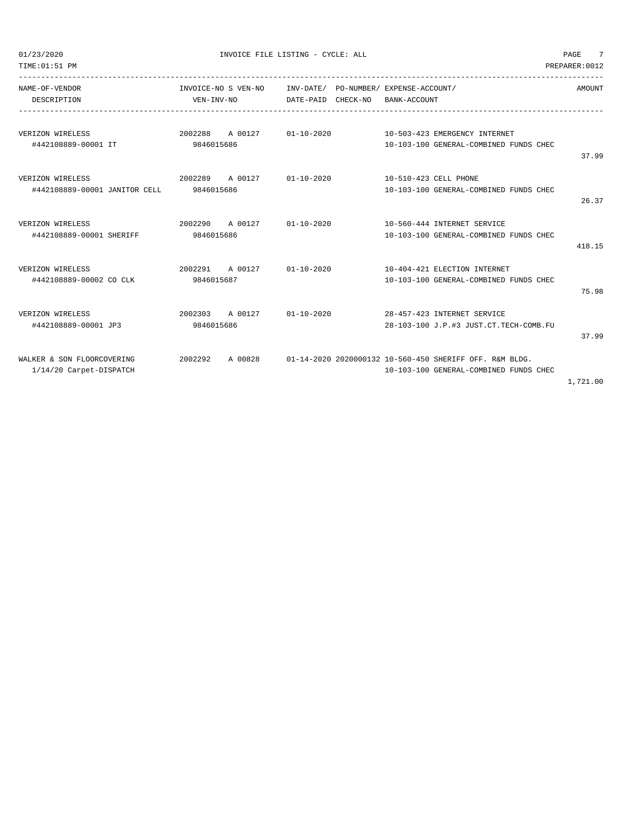| TIME: 01:51 PM                                        |                                          |                                                                          | PREPARER: 0012                                                                                    |
|-------------------------------------------------------|------------------------------------------|--------------------------------------------------------------------------|---------------------------------------------------------------------------------------------------|
| NAME-OF-VENDOR<br>DESCRIPTION                         | INVOICE-NO S VEN-NO<br>VEN-INV-NO        | INV-DATE/ PO-NUMBER/ EXPENSE-ACCOUNT/<br>DATE-PAID CHECK-NO BANK-ACCOUNT | AMOUNT                                                                                            |
| VERIZON WIRELESS<br>#442108889-00001 IT               | 9846015686                               | 2002288 A 00127 01-10-2020 10-503-423 EMERGENCY INTERNET                 | 10-103-100 GENERAL-COMBINED FUNDS CHEC<br>37.99                                                   |
| VERIZON WIRELESS<br>#442108889-00001 JANITOR CELL     | 2002289 A 00127 01-10-2020<br>9846015686 |                                                                          | 10-510-423 CELL PHONE<br>10-103-100 GENERAL-COMBINED FUNDS CHEC<br>26.37                          |
| VERIZON WIRELESS<br>#442108889-00001 SHERIFF          | 9846015686                               | 2002290 A 00127 01-10-2020 10-560-444 INTERNET SERVICE                   | 10-103-100 GENERAL-COMBINED FUNDS CHEC<br>418.15                                                  |
| VERIZON WIRELESS<br>#442108889-00002 CO CLK           | 9846015687                               | 2002291 A 00127 01-10-2020 10-404-421 ELECTION INTERNET                  | 10-103-100 GENERAL-COMBINED FUNDS CHEC<br>75.98                                                   |
| VERIZON WIRELESS<br>#442108889-00001 JP3              | 2002303 A 00127 01-10-2020<br>9846015686 |                                                                          | 28-457-423 INTERNET SERVICE<br>28-103-100 J.P.#3 JUST.CT.TECH-COMB.FU<br>37.99                    |
| WALKER & SON FLOORCOVERING<br>1/14/20 Carpet-DISPATCH | 2002292<br>A 00828                       |                                                                          | 01-14-2020 2020000132 10-560-450 SHERIFF OFF, R&M BLDG,<br>10-103-100 GENERAL-COMBINED FUNDS CHEC |

1,721.00